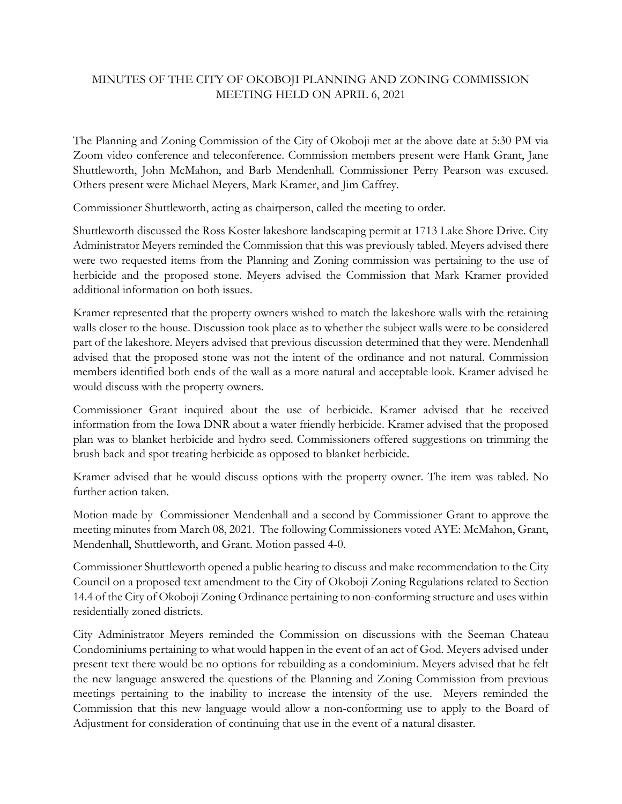## MINUTES OF THE CITY OF OKOBOJI PLANNING AND ZONING COMMISSION MEETING HELD ON APRIL 6, 2021

The Planning and Zoning Commission of the City of Okoboji met at the above date at 5:30 PM via Zoom video conference and teleconference. Commission members present were Hank Grant, Jane Shuttleworth, John McMahon, and Barb Mendenhall. Commissioner Perry Pearson was excused. Others present were Michael Meyers, Mark Kramer, and Jim Caffrey.

Commissioner Shuttleworth, acting as chairperson, called the meeting to order.

Shuttleworth discussed the Ross Koster lakeshore landscaping permit at 1713 Lake Shore Drive. City Administrator Meyers reminded the Commission that this was previously tabled. Meyers advised there were two requested items from the Planning and Zoning commission was pertaining to the use of herbicide and the proposed stone. Meyers advised the Commission that Mark Kramer provided additional information on both issues.

Kramer represented that the property owners wished to match the lakeshore walls with the retaining walls closer to the house. Discussion took place as to whether the subject walls were to be considered part of the lakeshore. Meyers advised that previous discussion determined that they were. Mendenhall advised that the proposed stone was not the intent of the ordinance and not natural. Commission members identified both ends of the wall as a more natural and acceptable look. Kramer advised he would discuss with the property owners.

Commissioner Grant inquired about the use of herbicide. Kramer advised that he received information from the Iowa DNR about a water friendly herbicide. Kramer advised that the proposed plan was to blanket herbicide and hydro seed. Commissioners offered suggestions on trimming the brush back and spot treating herbicide as opposed to blanket herbicide.

Kramer advised that he would discuss options with the property owner. The item was tabled. No further action taken.

Motion made by Commissioner Mendenhall and a second by Commissioner Grant to approve the meeting minutes from March 08, 2021. The following Commissioners voted AYE: McMahon, Grant, Mendenhall, Shuttleworth, and Grant. Motion passed 4-0.

Commissioner Shuttleworth opened a public hearing to discuss and make recommendation to the City Council on a proposed text amendment to the City of Okoboji Zoning Regulations related to Section 14.4 of the City of Okoboji Zoning Ordinance pertaining to non-conforming structure and uses within residentially zoned districts.

City Administrator Meyers reminded the Commission on discussions with the Seeman Chateau Condominiums pertaining to what would happen in the event of an act of God. Meyers advised under present text there would be no options for rebuilding as a condominium. Meyers advised that he felt the new language answered the questions of the Planning and Zoning Commission from previous meetings pertaining to the inability to increase the intensity of the use. Meyers reminded the Commission that this new language would allow a non-conforming use to apply to the Board of Adjustment for consideration of continuing that use in the event of a natural disaster.